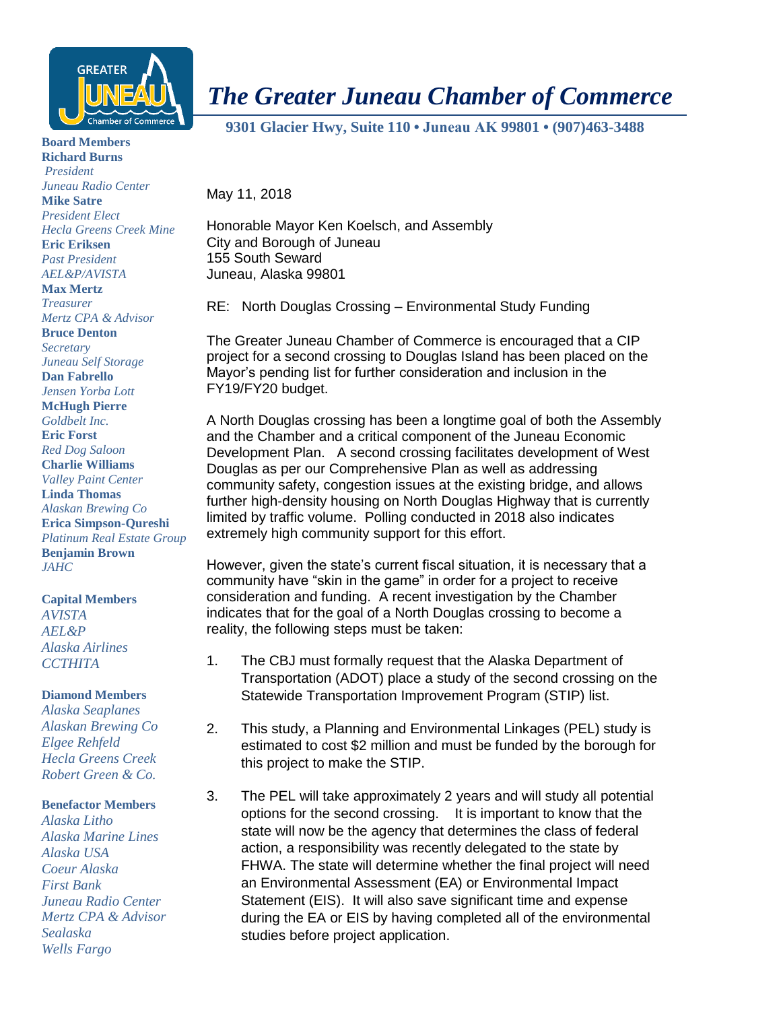

**Board Members**

**Richard Burns** *President Juneau Radio Center* **Mike Satre** *President Elect Hecla Greens Creek Mine* **Eric Eriksen** *Past President AEL&P/AVISTA* **Max Mertz** *Treasurer Mertz CPA & Advisor* **Bruce Denton** *Secretary Juneau Self Storage* **Dan Fabrello** *Jensen Yorba Lott* **McHugh Pierre** *Goldbelt Inc.* **Eric Forst** *Red Dog Saloon* **Charlie Williams** *Valley Paint Center* **Linda Thomas** *Alaskan Brewing Co* **Erica Simpson-Qureshi** *Platinum Real Estate Group* **Benjamin Brown** *JAHC*

## **Capital Members**

*AVISTA AEL&P Alaska Airlines CCTHITA*

## **Diamond Members**

*Alaska Seaplanes Alaskan Brewing Co Elgee Rehfeld Hecla Greens Creek Robert Green & Co.*

## **Benefactor Members**

*Alaska Litho Alaska Marine Lines Alaska USA Coeur Alaska First Bank Juneau Radio Center Mertz CPA & Advisor Sealaska Wells Fargo*

## *The Greater Juneau Chamber of Commerce*

 **9301 Glacier Hwy, Suite 110 • Juneau AK 99801 • (907)463-3488** 

May 11, 2018

Honorable Mayor Ken Koelsch, and Assembly City and Borough of Juneau 155 South Seward Juneau, Alaska 99801

RE: North Douglas Crossing – Environmental Study Funding

The Greater Juneau Chamber of Commerce is encouraged that a CIP project for a second crossing to Douglas Island has been placed on the Mayor's pending list for further consideration and inclusion in the FY19/FY20 budget.

A North Douglas crossing has been a longtime goal of both the Assembly and the Chamber and a critical component of the Juneau Economic Development Plan. A second crossing facilitates development of West Douglas as per our Comprehensive Plan as well as addressing community safety, congestion issues at the existing bridge, and allows further high-density housing on North Douglas Highway that is currently limited by traffic volume. Polling conducted in 2018 also indicates extremely high community support for this effort.

However, given the state's current fiscal situation, it is necessary that a community have "skin in the game" in order for a project to receive consideration and funding. A recent investigation by the Chamber indicates that for the goal of a North Douglas crossing to become a reality, the following steps must be taken:

- 1. The CBJ must formally request that the Alaska Department of Transportation (ADOT) place a study of the second crossing on the Statewide Transportation Improvement Program (STIP) list.
- 2. This study, a Planning and Environmental Linkages (PEL) study is estimated to cost \$2 million and must be funded by the borough for this project to make the STIP.
- 3. The PEL will take approximately 2 years and will study all potential options for the second crossing. It is important to know that the state will now be the agency that determines the class of federal action, a responsibility was recently delegated to the state by FHWA. The state will determine whether the final project will need an Environmental Assessment (EA) or Environmental Impact Statement (EIS). It will also save significant time and expense during the EA or EIS by having completed all of the environmental studies before project application.